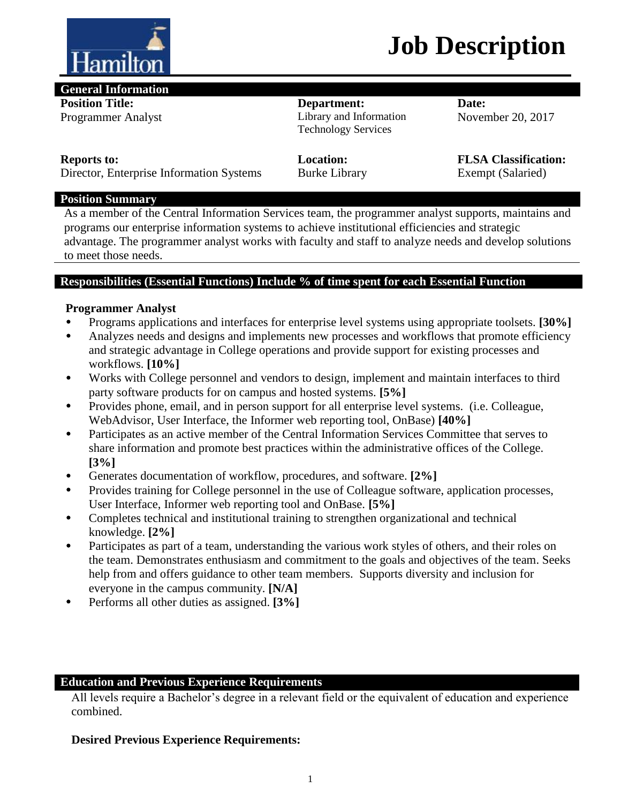

## **Job Description**

#### **General Information**

**Position Title:**  Programmer Analyst

## **Department:**

Library and Information Technology Services

**Date:** November 20, 2017

#### **Reports to:**

**Location:** Burke Library **FLSA Classification:**  Exempt (Salaried)

Director, Enterprise Information Systems

### **Position Summary**

As a member of the Central Information Services team, the programmer analyst supports, maintains and programs our enterprise information systems to achieve institutional efficiencies and strategic advantage. The programmer analyst works with faculty and staff to analyze needs and develop solutions to meet those needs.

### **Responsibilities (Essential Functions) Include % of time spent for each Essential Function**

### **Programmer Analyst**

- Programs applications and interfaces for enterprise level systems using appropriate toolsets. **[30%]**
- Analyzes needs and designs and implements new processes and workflows that promote efficiency and strategic advantage in College operations and provide support for existing processes and workflows. **[10%]**
- Works with College personnel and vendors to design, implement and maintain interfaces to third party software products for on campus and hosted systems. **[5%]**
- Provides phone, email, and in person support for all enterprise level systems. (i.e. Colleague, WebAdvisor, User Interface, the Informer web reporting tool, OnBase) **[40%]**
- Participates as an active member of the Central Information Services Committee that serves to share information and promote best practices within the administrative offices of the College. **[3%]**
- Generates documentation of workflow, procedures, and software. **[2%]**
- Provides training for College personnel in the use of Colleague software, application processes, User Interface, Informer web reporting tool and OnBase. **[5%]**
- Completes technical and institutional training to strengthen organizational and technical knowledge. **[2%]**
- Participates as part of a team, understanding the various work styles of others, and their roles on the team. Demonstrates enthusiasm and commitment to the goals and objectives of the team. Seeks help from and offers guidance to other team members. Supports diversity and inclusion for everyone in the campus community. **[N/A]**
- Performs all other duties as assigned. **[3%]**

## **Education and Previous Experience Requirements**

All levels require a Bachelor's degree in a relevant field or the equivalent of education and experience combined.

## **Desired Previous Experience Requirements:**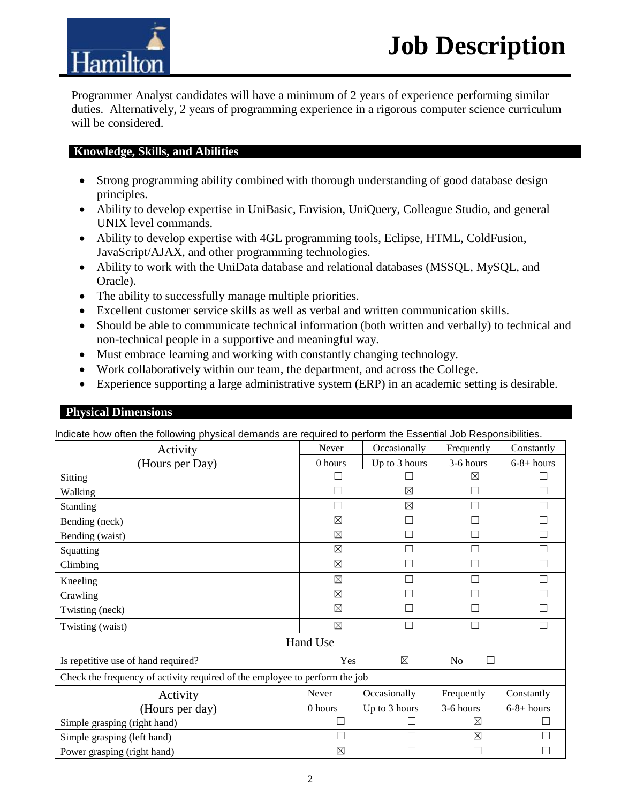Programmer Analyst candidates will have a minimum of 2 years of experience performing similar duties. Alternatively, 2 years of programming experience in a rigorous computer science curriculum will be considered.

#### **Knowledge, Skills, and Abilities**

**Tamiltoi** 

- Strong programming ability combined with thorough understanding of good database design principles.
- Ability to develop expertise in UniBasic, Envision, UniQuery, Colleague Studio, and general UNIX level commands.
- Ability to develop expertise with 4GL programming tools, Eclipse, HTML, ColdFusion, JavaScript/AJAX, and other programming technologies.
- Ability to work with the UniData database and relational databases (MSSQL, MySQL, and Oracle).
- The ability to successfully manage multiple priorities.
- Excellent customer service skills as well as verbal and written communication skills.
- Should be able to communicate technical information (both written and verbally) to technical and non-technical people in a supportive and meaningful way.
- Must embrace learning and working with constantly changing technology.
- Work collaboratively within our team, the department, and across the College.
- Experience supporting a large administrative system (ERP) in an academic setting is desirable.

#### **Physical Dimensions**

Indicate how often the following physical demands are required to perform the Essential Job Responsibilities.

| Activity                                                                    | Never       | Occasionally  | Frequently     | Constantly   |  |  |
|-----------------------------------------------------------------------------|-------------|---------------|----------------|--------------|--|--|
| (Hours per Day)                                                             | $0$ hours   | Up to 3 hours | 3-6 hours      | $6-8+ hours$ |  |  |
| Sitting                                                                     |             |               | $\boxtimes$    |              |  |  |
| Walking                                                                     |             | $\boxtimes$   |                |              |  |  |
| Standing                                                                    |             | $\boxtimes$   | $\mathcal{L}$  | П            |  |  |
| Bending (neck)                                                              | $\boxtimes$ |               |                | □            |  |  |
| Bending (waist)                                                             | $\boxtimes$ |               |                | П            |  |  |
| Squatting                                                                   | $\boxtimes$ |               | П              | П            |  |  |
| Climbing                                                                    | $\boxtimes$ |               |                |              |  |  |
| Kneeling                                                                    | $\boxtimes$ |               |                | ┓            |  |  |
| Crawling                                                                    | $\boxtimes$ |               |                |              |  |  |
| Twisting (neck)                                                             | $\boxtimes$ |               |                | П            |  |  |
| Twisting (waist)                                                            | $\boxtimes$ |               |                | ┑            |  |  |
| Hand Use                                                                    |             |               |                |              |  |  |
| Is repetitive use of hand required?                                         | Yes         | $\boxtimes$   | N <sub>o</sub> |              |  |  |
| Check the frequency of activity required of the employee to perform the job |             |               |                |              |  |  |
| Activity                                                                    | Never       | Occasionally  | Frequently     | Constantly   |  |  |
| (Hours per day)                                                             | 0 hours     | Up to 3 hours | 3-6 hours      | $6-8+ hours$ |  |  |
| Simple grasping (right hand)                                                | Г           |               | ⊠              |              |  |  |
| Simple grasping (left hand)                                                 |             |               | $\boxtimes$    |              |  |  |
| Power grasping (right hand)                                                 | $\boxtimes$ |               | Г              |              |  |  |